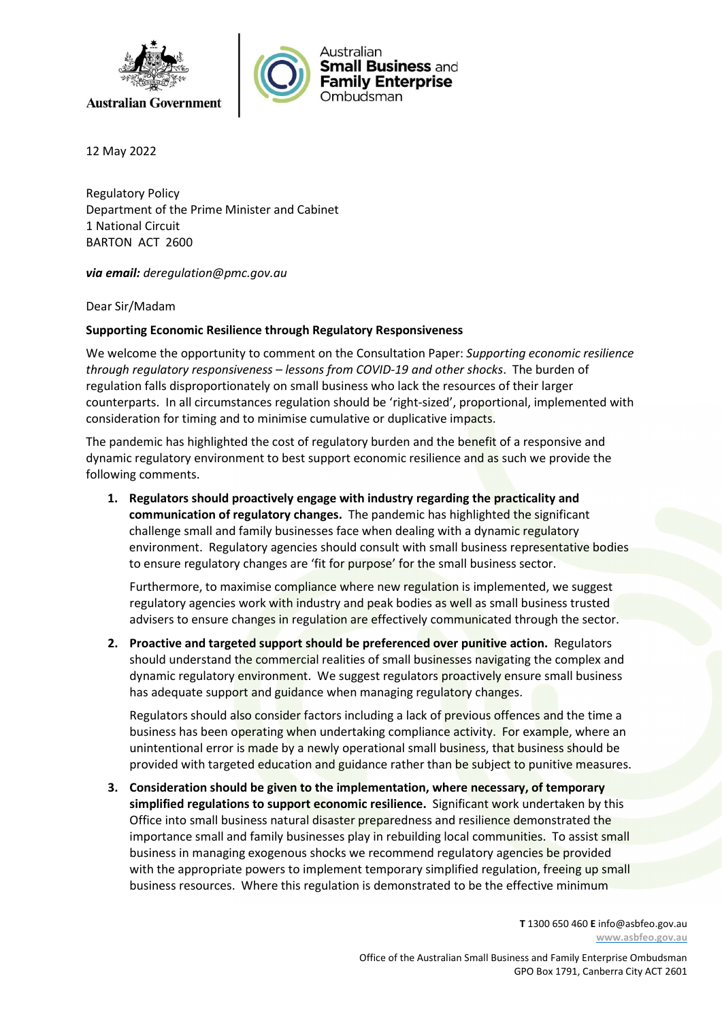



12 May 2022

Regulatory Policy Department of the Prime Minister and Cabinet 1 National Circuit BARTON ACT 2600

via email: deregulation@pmc.gov.au

Dear Sir/Madam

## Supporting Economic Resilience through Regulatory Responsiveness

We welcome the opportunity to comment on the Consultation Paper: Supporting economic resilience through regulatory responsiveness – lessons from COVID-19 and other shocks. The burden of regulation falls disproportionately on small business who lack the resources of their larger counterparts. In all circumstances regulation should be 'right-sized', proportional, implemented with consideration for timing and to minimise cumulative or duplicative impacts.

The pandemic has highlighted the cost of regulatory burden and the benefit of a responsive and dynamic regulatory environment to best support economic resilience and as such we provide the following comments.

1. Regulators should proactively engage with industry regarding the practicality and communication of regulatory changes. The pandemic has highlighted the significant challenge small and family businesses face when dealing with a dynamic regulatory environment. Regulatory agencies should consult with small business representative bodies to ensure regulatory changes are 'fit for purpose' for the small business sector.

Furthermore, to maximise compliance where new regulation is implemented, we suggest regulatory agencies work with industry and peak bodies as well as small business trusted advisers to ensure changes in regulation are effectively communicated through the sector.

2. Proactive and targeted support should be preferenced over punitive action. Regulators should understand the commercial realities of small businesses navigating the complex and dynamic regulatory environment. We suggest regulators proactively ensure small business has adequate support and guidance when managing regulatory changes.

Regulators should also consider factors including a lack of previous offences and the time a business has been operating when undertaking compliance activity. For example, where an unintentional error is made by a newly operational small business, that business should be provided with targeted education and guidance rather than be subject to punitive measures.

3. Consideration should be given to the implementation, where necessary, of temporary simplified regulations to support economic resilience. Significant work undertaken by this Office into small business natural disaster preparedness and resilience demonstrated the importance small and family businesses play in rebuilding local communities. To assist small business in managing exogenous shocks we recommend regulatory agencies be provided with the appropriate powers to implement temporary simplified regulation, freeing up small business resources. Where this regulation is demonstrated to be the effective minimum